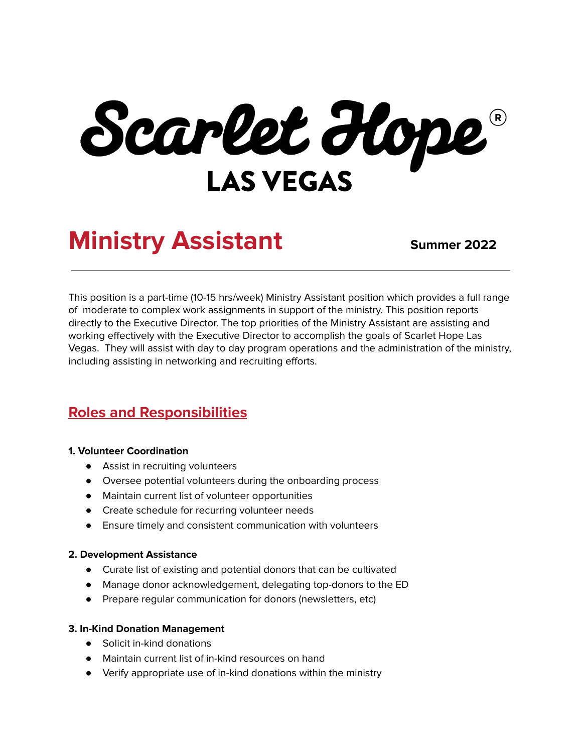Scarlet Hope **LAS VEGAS** 

# **Ministry Assistant Summer** 2022

This position is a part-time (10-15 hrs/week) Ministry Assistant position which provides a full range of moderate to complex work assignments in support of the ministry. This position reports directly to the Executive Director. The top priorities of the Ministry Assistant are assisting and working effectively with the Executive Director to accomplish the goals of Scarlet Hope Las Vegas. They will assist with day to day program operations and the administration of the ministry, including assisting in networking and recruiting efforts.

## **Roles and Responsibilities**

### **1. Volunteer Coordination**

- Assist in recruiting volunteers
- Oversee potential volunteers during the onboarding process
- Maintain current list of volunteer opportunities
- Create schedule for recurring volunteer needs
- Ensure timely and consistent communication with volunteers

### **2. Development Assistance**

- Curate list of existing and potential donors that can be cultivated
- Manage donor acknowledgement, delegating top-donors to the ED
- Prepare regular communication for donors (newsletters, etc)

### **3. In-Kind Donation Management**

- Solicit in-kind donations
- Maintain current list of in-kind resources on hand
- Verify appropriate use of in-kind donations within the ministry